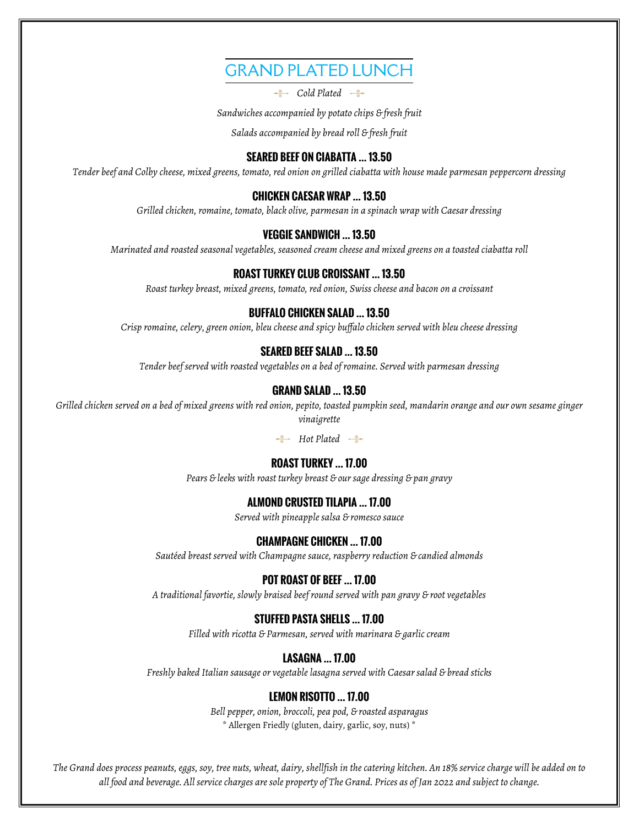# GRAND PLATED LUNCH

**Cold Plated** 

*Sandwiches accompanied by potato chips & fresh fruit*

*Salads accompanied by bread roll & fresh fruit*

## **SEARED BEEF ON CIABATTA … 13.50**

*Tender beef and Colby cheese, mixed greens, tomato, red onion on grilled ciabatta with house made parmesan peppercorn dressing*

### **CHICKEN CAESAR WRAP … 13.50**

*Grilled chicken, romaine, tomato, black olive, parmesan in a spinach wrap with Caesar dressing*

### **VEGGIE SANDWICH … 13.50**

*Marinated and roasted seasonal vegetables, seasoned cream cheese and mixed greens on a toasted ciabatta roll*

#### **ROAST TURKEY CLUB CROISSANT … 13.50**

*Roast turkey breast, mixed greens, tomato, red onion, Swiss cheese and bacon on a croissant*

#### **BUFFALO CHICKEN SALAD … 13.50**

*Crisp romaine, celery, green onion, bleu cheese and spicy buffalo chicken served with bleu cheese dressing*

## **SEARED BEEF SALAD … 13.50**

*Tender beef served with roasted vegetables on a bed of romaine. Served with parmesan dressing*

#### **GRAND SALAD … 13.50**

*Grilled chicken served on a bed of mixed greens with red onion, pepito, toasted pumpkin seed, mandarin orange and our own sesame ginger vinaigrette*

*Hot Plated*  $\rightarrow$ 

#### **ROAST TURKEY … 17.00**

*Pears & leeks with roast turkey breast & our sage dressing & pan gravy*

#### **ALMOND CRUSTED TILAPIA … 17.00**

*Served with pineapple salsa & romesco sauce*

#### **CHAMPAGNE CHICKEN … 17.00**

*Sautéed breast served with Champagne sauce, raspberry reduction & candied almonds*

## **POT ROAST OF BEEF … 17.00**

*A traditional favortie, slowly braised beef round served with pan gravy & root vegetables*

### **STUFFED PASTA SHELLS … 17.00**

*Filled with ricotta & Parmesan, served with marinara & garlic cream*

#### **LASAGNA … 17.00**

*Freshly baked Italian sausage or vegetable lasagna served with Caesar salad & bread sticks*

#### **LEMON RISOTTO … 17.00**

*Bell pepper, onion, broccoli, pea pod, & roasted asparagus* \* Allergen Friedly (gluten, dairy, garlic, soy, nuts) \*

*The Grand does process peanuts, eggs, soy, tree nuts, wheat, dairy, shellfish in the catering kitchen. An 18% service charge will be added on to all food and beverage. All service charges are sole property of The Grand. Prices as of Jan 2022 and subject to change.*